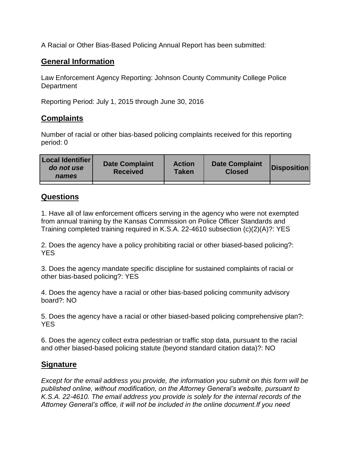A Racial or Other Bias-Based Policing Annual Report has been submitted:

## **General Information**

Law Enforcement Agency Reporting: Johnson County Community College Police **Department** 

Reporting Period: July 1, 2015 through June 30, 2016

## **Complaints**

Number of racial or other bias-based policing complaints received for this reporting period: 0

## **Questions**

1. Have all of law enforcement officers serving in the agency who were not exempted from annual training by the Kansas Commission on Police Officer Standards and Training completed training required in K.S.A. 22-4610 subsection (c)(2)(A)?: YES

2. Does the agency have a policy prohibiting racial or other biased-based policing?: YES

3. Does the agency mandate specific discipline for sustained complaints of racial or other bias-based policing?: YES

4. Does the agency have a racial or other bias-based policing community advisory board?: NO

5. Does the agency have a racial or other biased-based policing comprehensive plan?: **YES** 

6. Does the agency collect extra pedestrian or traffic stop data, pursuant to the racial and other biased-based policing statute (beyond standard citation data)?: NO

## **Signature**

*Except for the email address you provide, the information you submit on this form will be published online, without modification, on the Attorney General's website, pursuant to K.S.A. 22-4610. The email address you provide is solely for the internal records of the Attorney General's office, it will not be included in the online document.If you need*